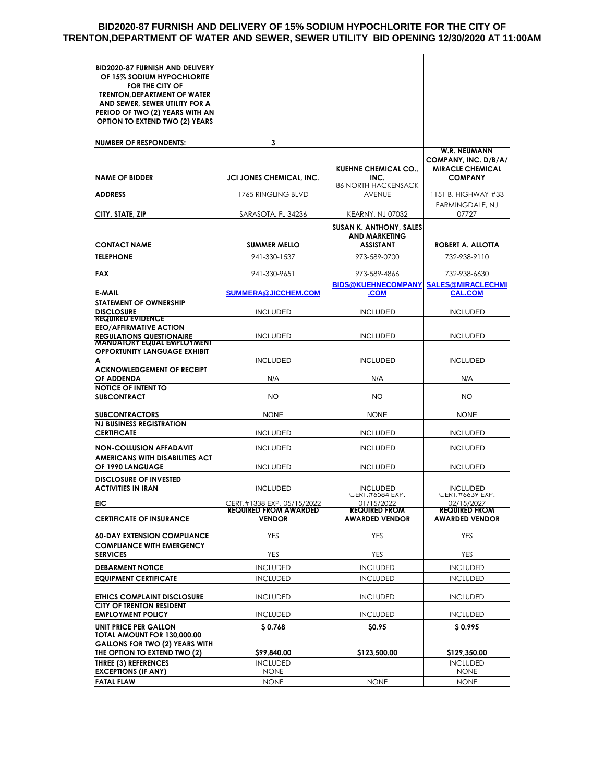#### **BID2020-87 FURNISH AND DELIVERY OF 15% SODIUM HYPOCHLORITE FOR THE CITY OF TRENTON,DEPARTMENT OF WATER AND SEWER, SEWER UTILITY BID OPENING 12/30/2020 AT 11:00AM**

| <b>BID2020-87 FURNISH AND DELIVERY</b>                            |                                               |                                                        |                                               |
|-------------------------------------------------------------------|-----------------------------------------------|--------------------------------------------------------|-----------------------------------------------|
| OF 15% SODIUM HYPOCHLORITE                                        |                                               |                                                        |                                               |
| FOR THE CITY OF                                                   |                                               |                                                        |                                               |
| <b>TRENTON, DEPARTMENT OF WATER</b>                               |                                               |                                                        |                                               |
| AND SEWER, SEWER UTILITY FOR A<br>PERIOD OF TWO (2) YEARS WITH AN |                                               |                                                        |                                               |
| <b>OPTION TO EXTEND TWO (2) YEARS</b>                             |                                               |                                                        |                                               |
|                                                                   |                                               |                                                        |                                               |
| <b>NUMBER OF RESPONDENTS:</b>                                     | 3                                             |                                                        |                                               |
|                                                                   |                                               |                                                        | <b>W.R. NEUMANN</b>                           |
|                                                                   |                                               |                                                        | COMPANY, INC. D/B/A/                          |
|                                                                   |                                               | <b>KUEHNE CHEMICAL CO.,</b>                            | <b>MIRACLE CHEMICAL</b>                       |
| <b>NAME OF BIDDER</b>                                             | <b>JCI JONES CHEMICAL, INC.</b>               | INC.                                                   | <b>COMPANY</b>                                |
| <b>ADDRESS</b>                                                    | 1765 RINGLING BLVD                            | <b>86 NORTH HACKENSACK</b><br><b>AVENUE</b>            | 1151 B. HIGHWAY #33                           |
|                                                                   |                                               |                                                        | FARMINGDALE, NJ                               |
| CITY, STATE, ZIP                                                  | SARASOTA, FL 34236                            | <b>KEARNY, NJ 07032</b>                                | 07727                                         |
|                                                                   |                                               |                                                        |                                               |
|                                                                   |                                               | <b>SUSAN K. ANTHONY, SALES</b><br><b>AND MARKETING</b> |                                               |
| <b>CONTACT NAME</b>                                               | <b>SUMMER MELLO</b>                           | <b>ASSISTANT</b>                                       | ROBERT A. ALLOTTA                             |
| TELEPHONE                                                         | 941-330-1537                                  | 973-589-0700                                           | 732-938-9110                                  |
|                                                                   |                                               |                                                        |                                               |
| <b>FAX</b>                                                        | 941-330-9651                                  | 973-589-4866                                           | 732-938-6630                                  |
|                                                                   |                                               | <b>BIDS@KUEHNECOMPANY</b>                              | <b>SALES@MIRACLECHMI</b>                      |
| <b>E-MAIL</b>                                                     | SUMMERA@JICCHEM.COM                           | <b>COM</b>                                             | <b>CAL.COM</b>                                |
| STATEMENT OF OWNERSHIP                                            |                                               |                                                        |                                               |
| <b>DISCLOSURE</b><br><b>REQUIRED EVIDENCE</b>                     | <b>INCLUDED</b>                               | <b>INCLUDED</b>                                        | <b>INCLUDED</b>                               |
| <b>EEO/AFFIRMATIVE ACTION</b>                                     |                                               |                                                        |                                               |
| <b>REGULATIONS QUESTIONAIRE</b>                                   | <b>INCLUDED</b>                               | <b>INCLUDED</b>                                        | <b>INCLUDED</b>                               |
| MANDAIOKY EQUAL EMPLOYMENI<br><b>OPPORTUNITY LANGUAGE EXHIBIT</b> |                                               |                                                        |                                               |
| А                                                                 | <b>INCLUDED</b>                               | <b>INCLUDED</b>                                        | <b>INCLUDED</b>                               |
| <b>ACKNOWLEDGEMENT OF RECEIPT</b>                                 |                                               |                                                        |                                               |
| OF ADDENDA                                                        | N/A                                           | N/A                                                    | N/A                                           |
| <b>NOTICE OF INTENT TO</b>                                        |                                               |                                                        |                                               |
| <b>SUBCONTRACT</b>                                                | <b>NO</b>                                     | <b>NO</b>                                              | <b>NO</b>                                     |
| <b>SUBCONTRACTORS</b>                                             | <b>NONE</b>                                   | <b>NONE</b>                                            | <b>NONE</b>                                   |
| <b>NJ BUSINESS REGISTRATION</b>                                   |                                               |                                                        |                                               |
| <b>CERTIFICATE</b>                                                | <b>INCLUDED</b>                               | <b>INCLUDED</b>                                        | <b>INCLUDED</b>                               |
|                                                                   |                                               |                                                        |                                               |
| <b>NON-COLLUSION AFFADAVIT</b><br>AMERICANS WITH DISABILITIES ACT | <b>INCLUDED</b>                               | <b>INCLUDED</b>                                        | <b>INCLUDED</b>                               |
| OF 1990 LANGUAGE                                                  | <b>INCLUDED</b>                               | <b>INCLUDED</b>                                        | <b>INCLUDED</b>                               |
| <b>DISCLOSURE OF INVESTED</b>                                     |                                               |                                                        |                                               |
|                                                                   |                                               |                                                        |                                               |
|                                                                   |                                               |                                                        |                                               |
| ACTIVITIES IN IRAN                                                | <b>INCLUDED</b>                               | <b>INCLUDED</b>                                        | <b>INCLUDED</b>                               |
| EIC                                                               | CERT.#1338 EXP. 05/15/2022                    | 01/15/2022                                             | 02/15/2027                                    |
| <b>CERTIFICATE OF INSURANCE</b>                                   | <b>REQUIRED FROM AWARDED</b><br><b>VENDOR</b> | <b>REQUIRED FROM</b><br><b>AWARDED VENDOR</b>          | <b>REQUIRED FROM</b><br><b>AWARDED VENDOR</b> |
|                                                                   |                                               |                                                        |                                               |
| <b>60-DAY EXTENSION COMPLIANCE</b>                                | <b>YES</b>                                    | <b>YES</b>                                             | <b>YES</b>                                    |
| <b>COMPLIANCE WITH EMERGENCY</b>                                  |                                               |                                                        |                                               |
| <b>SERVICES</b>                                                   | YES                                           | YES                                                    | YES                                           |
| <b>DEBARMENT NOTICE</b>                                           | <b>INCLUDED</b>                               | <b>INCLUDED</b>                                        | <b>INCLUDED</b>                               |
| <b>EQUIPMENT CERTIFICATE</b>                                      | <b>INCLUDED</b>                               | <b>INCLUDED</b>                                        | <b>INCLUDED</b>                               |
|                                                                   |                                               |                                                        |                                               |
| <b>ETHICS COMPLAINT DISCLOSURE</b>                                | <b>INCLUDED</b>                               | <b>INCLUDED</b>                                        | <b>INCLUDED</b>                               |
| <b>CITY OF TRENTON RESIDENT</b><br><b>EMPLOYMENT POLICY</b>       | <b>INCLUDED</b>                               | <b>INCLUDED</b>                                        | <b>INCLUDED</b>                               |
|                                                                   |                                               |                                                        |                                               |
| UNIT PRICE PER GALLON<br>TOTAL AMOUNT FOR 130,000.00              | \$0.768                                       | \$0.95                                                 | \$0.995                                       |
| <b>GALLONS FOR TWO (2) YEARS WITH</b>                             |                                               |                                                        |                                               |
| THE OPTION TO EXTEND TWO (2)                                      | \$99,840.00                                   | \$123,500.00                                           | \$129,350.00                                  |
| <b>THREE (3) REFERENCES</b>                                       | <b>INCLUDED</b>                               |                                                        | <b>INCLUDED</b>                               |
| EXCEPTIONS (IF ANY)<br><b>FATAL FLAW</b>                          | NONE<br><b>NONE</b>                           | <b>NONE</b>                                            | NONE<br><b>NONE</b>                           |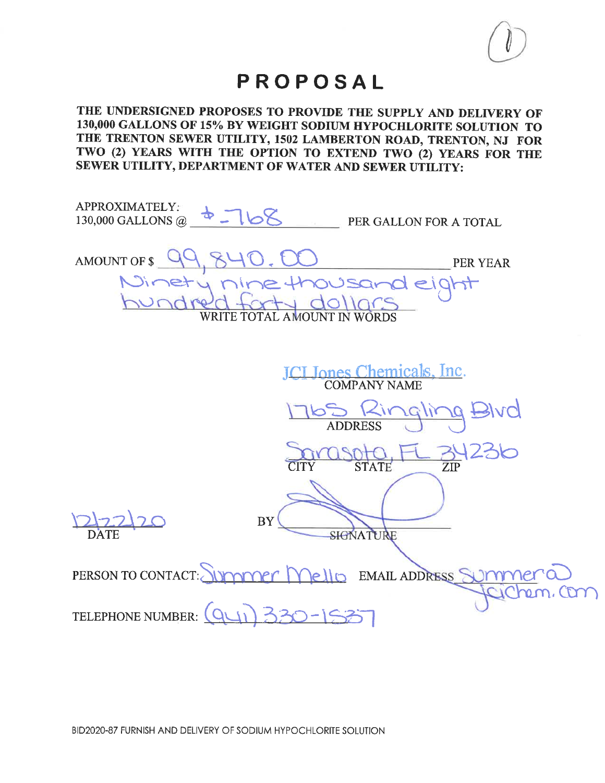У

## PROPOSAL

THE UNDERSIGNED PROPOSES TO PROVIDE THE SUPPLY AND DELIVERY OF 130,000 GALLONS OF 15% BY WEIGHT SODIUM HYPOCHLORITE SOLUTION TO THE TRENTON SEWER UTILITY, 1502 LAMBERTON ROAD, TRENTON, NJ FOR TWO (2) YEARS WITH THE OPTION TO EXTEND TWO (2) YEARS FOR THE SEWER UTILITY, DEPARTMENT OF WATER AND SEWER UTILITY:

| APPROXIMATELY:<br>$4 - 168$<br>130,000 GALLONS @<br>PER GALLON FOR A TOTAL                           |
|------------------------------------------------------------------------------------------------------|
| AMOUNT OF \$<br><b>PER YEAR</b><br>Minety nine thousand eight<br>idra<br>WRITE TOTAL AMOUNT IN WORDS |
| <u> EL Jones Chemicals, Inc.</u><br>COMPANY NAME                                                     |
| <b>PIAQ</b><br>ralir<br>63<br>$\overline{\text{Kir}}$<br><b>ADDRESS</b>                              |
| 236<br><b>STATE</b><br>$\overline{\text{ZIP}}$<br><b>CITY</b>                                        |
| <b>BY</b><br>SIGNATURE<br><b>DATE</b>                                                                |
| PERSON TO CONTACT:<br><u>Immer Mello</u> EMAIL ADDRESS SUMM                                          |
| TELEPHONE NUMBER:                                                                                    |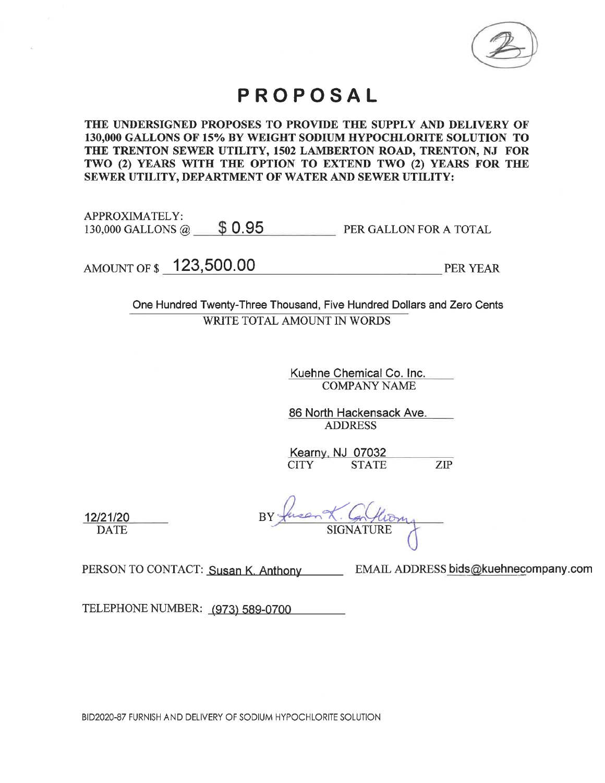

## PROPOSAL

THE UNDERSIGNED PROPOSES TO PROVIDE THE SUPPLY AND DELIVERY OF 130,000 GALLONS OF 15% BY WEIGHT SODIUM HYPOCHLORITE SOLUTION TO THE TRENTON SEWER UTILITY, 1502 LAMBERTON ROAD, TRENTON, NJ FOR TWO (2) YEARS WITH THE OPTION TO EXTEND TWO (2) YEARS FOR THE SEWER UTILITY, DEPARTMENT OF WATER AND SEWER UTILITY:

APPROXIMATELY: 130,000 GALLONS @  $$ 0.95$ **PER GALLON FOR A TOTAL** 

AMOUNT OF \$ 123,500.00

**PER YEAR** 

One Hundred Twenty-Three Thousand, Five Hundred Dollars and Zero Cents WRITE TOTAL AMOUNT IN WORDS

> Kuehne Chemical Co. Inc. **COMPANY NAME**

86 North Hackensack Ave. **ADDRESS** 

Kearny, NJ 07032 ZIP **CITY STATE** 

**SIGNATURE** 

12/21/20 **DATE** 

PERSON TO CONTACT: Susan K. Anthony EMAIL ADDRESS bids@kuehnecompany.com

TELEPHONE NUMBER: (973) 589-0700